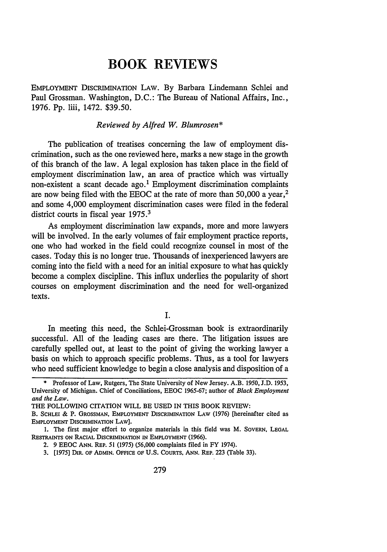## **BOOK REVIEWS**

EMPLOYMENT DISCRIMINATION LAW. By Barbara Lindemann Schlei and Paul Grossman. Washington, D.C.: The Bureau of National Affairs, Inc., 1976. Pp. liii, 1472. \$39.50.

## *Reviewed by Alfred W. Blumrosen\**

The publication of treatises concerning the law of employment discrimination, such as the one reviewed here, marks a new stage in the growth of this branch of the law. A legal explosion has taken place in the field of employment discrimination law, an area of practice which was virtually non-existent a scant decade ago.' Employment discrimination complaints are now being filed with the EEOC at the rate of more than 50,000 a year, <sup>2</sup> and some 4,000 employment discrimination cases were filed in the federal district courts in fiscal year 1975.<sup>3</sup>

As employment discrimination law expands, more and more lawyers will be involved. In the early volumes of fair employment practice reports, one who had worked in the field could recognize counsel in most of the cases. Today this is no longer true. Thousands of inexperienced lawyers are coming into the field with a need for an initial exposure to what has quickly become a complex discipline. This influx underlies the popularity of short courses on employment discrimination and the need for well-organized texts.

I.

In meeting this need, the Schlei-Grossman book is extraordinarily successful. All of the leading cases are there. The litigation issues are carefully spelled out, at least to the point of giving the working lawyer a basis on which to approach specific problems. Thus, as a tool for lawyers who need sufficient knowledge to begin a close analysis and disposition of a

<sup>\*</sup> Professor of Law, Rutgers, The State University of New Jersey. A.B. 1950, J.D. 1953, University of Michigan. Chief of Conciliations, EEOC 1965-67; author of *Black Employment and the Law.*

THE FOLLOWING CITATION WILL BE USED IN THIS BOOK REVIEW:

B. SCHLEI **&** P. **GROSSMAN,** EMPLOYMENT DISCRIMINATION LAW (1976) [hereinafter cited as EMPLOYMENT DISCRIMINATION LAW].

<sup>1.</sup> The first major effort to organize materials in this field was M. SOVERN, **LEGAL** RESTRAINTS ON RACIAL DISCRIMINATION IN EMPLOYMENT (1966).

<sup>2. 9</sup> EEOC ANN. REP. 51 (1975) (56,000 complaints filed in FY 1974).

<sup>3. [1975]</sup> DIR. OF ADMIN. OFFICE OF U.S. COURTS, ANN. REP. 223 (Table 33).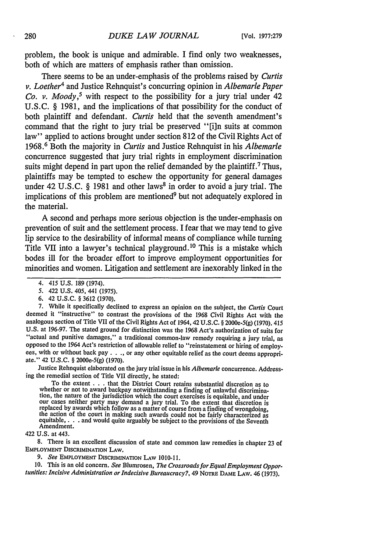problem, the book is unique and admirable. I find only two weaknesses, both of which are matters of emphasis rather than omission.

There seems to be an under-emphasis of the problems raised by *Curtis v. Loether4* and Justice Rehnquist's concurring opinion in *Albemarle Paper Co. v. Moody*,<sup>5</sup> with respect to the possibility for a jury trial under 42 U.S.C. § 1981, and the implications of that possibility for the conduct of both plaintiff and defendant. *Curtis* held that the seventh amendment's command that the right to jury trial be preserved "[i]n suits at common law" applied to actions brought under section 812 of the Civil Rights Act of 1968.6 Both the majority in *Curtis* and Justice Rehnquist in his *Albemarle* concurrence suggested that jury trial rights in employment discrimination suits might depend in part upon the relief demanded by the plaintiff.<sup>7</sup> Thus, plaintiffs may be tempted to eschew the opportunity for general damages under 42 U.S.C. § 1981 and other laws<sup>8</sup> in order to avoid a jury trial. The implications of this problem are mentioned<sup>9</sup> but not adequately explored in the material.

A second and perhaps more serious objection is the under-emphasis on prevention of suit and the settlement process. I fear that we may tend to give lip service to the desirability of informal means of compliance while turning Title VII into a lawyer's technical playground. 10 This is a mistake which bodes ill for the broader effort to improve employment opportunities for minorities and women. Litigation and settlement are inexorably linked in the

6. 42 U.S.C. § 3612 (1970).

7. While it specifically declined to express an opinion on the subject, the *Curtis* Court deemed it "instructive" to contrast the provisions of the 1968 Civil Rights Act with the analogous section of Title VII of the Civil Rights Act of 1964,42 U.S.C. § 2000e-5(g) (1970). 415 U.S. at 196-97. The stated ground for distinction was the 1968 Act's authorization of suits for "actual and punitive damages," a traditional common-law remedy requiring a jury trial, as opposed to the 1964 Act's restriction of allowable relief to "reinstatement or hiring of employees, with or without back pay . **. .,** or any other equitable relief as the court deems appropriate." 42 U.S.C. § 2000e-5(g) (1970).

Justice Rehnquist elaborated on the jury trial issue in his *Albemarle* concurrence. Addressing the remedial section of Title VII directly, he stated:

To the extent  $\ldots$  that the District Court retains substantial discretion as to whether or not to award backpay notwithstanding a finding of unlawful discrimination, the nature of the jurisdiction which the court exercises is equitable, and under<br>our cases neither party may demand a jury trial. To the extent that discretion is replaced by awards which follow as a matter of course from a finding of wrongdoing<br>the action of the court in making such awards could not be fairly characterized as<br>equitable, .... and would quite arguably be subject to t

422 U.S. at 443.

8. There is an excellent discussion of state and common law remedies in chapter 23 of EMPLOYMENT DISCRIMINATION LAW.

*9. See* EMPLOYMENT DISCRIMINATION LAW 1010-11.

**10.** This is an old concern. *See* Blumrosen, *The Crossroads for Equal Employment Opportunities: Incisive Administration orIndecisive Bureaucracy?,* 49 NOTRE DAME LAW. 46 (1973).

<sup>4. 415</sup> U.S. 189 (1974).

<sup>5. 422</sup> U.S. 405, 441 (1975).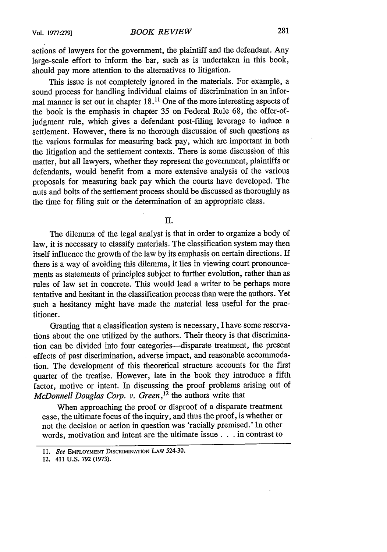actions of lawyers for the government, the plaintiff and the defendant. Any large-scale effort to inform the bar, such as is undertaken in this book, should pay more attention to the alternatives to litigation.

This issue is not completely ignored in the materials. For example, a sound process for handling individual claims of discrimination in an informal manner is set out in chapter 18.11 One of the more interesting aspects of the book is the emphasis in chapter 35 on Federal Rule 68, the offer-ofjudgment rule, which gives a defendant post-filing leverage to induce a settlement. However, there is no thorough discussion of such questions as the various formulas for measuring back pay, which are important in both the litigation and the settlement contexts. There is some discussion of this matter, but all lawyers, whether they represent the government, plaintiffs or defendants, would benefit from a more extensive analysis of the various proposals for measuring back pay which the courts have developed. The nuts and bolts of the settlement process should be discussed as thoroughly as the time for filing suit or the determination of an appropriate class.

H.

The dilemma of the legal analyst is that in order to organize a body of law, it is necessary to classify materials. The classification system may then itself influence the growth of the law by its emphasis on certain directions. If there is a way of avoiding this dilemma, it lies in viewing court pronouncements as statements of principles subject to further evolution, rather than as rules of law set in concrete. This would lead a writer to be perhaps more tentative and hesitant in the classification process than were the authors. Yet such a hesitancy might have made the material less useful for the practitioner.

Granting that a classification system is necessary, I have some reservations about the one utilized by the authors. Their theory is that discrimination can be divided into four categories-disparate treatment, the present effects of past discrimination, adverse impact, and reasonable accommodation. The development of this theoretical structure accounts for the first quarter of the treatise. However, late in the book they introduce a fifth factor, motive or intent. In discussing the proof problems arising out of *McDonnell Douglas Corp. v. Green*,<sup>12</sup> the authors write that

When approaching the proof or disproof of a disparate treatment case, the ultimate focus of the inquiry, and thus the proof, is whether or not the decision or action in question was 'racially premised.' In other words, motivation and intent are the ultimate issue. **. .** in contrast to

**<sup>11.</sup>** *See* EMPLOYMENT **DISCRIMINATION** LAW 524-30.

<sup>12. 411</sup> U.S. **792 (1973).**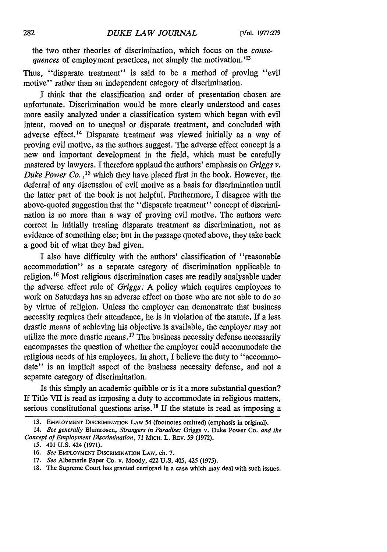the two other theories of discrimination, which focus on the *consequences* of employment practices, not simply the motivation.'<sup>13</sup>

Thus, "disparate treatment" is said to be a method of proving "evil motive" rather than an independent category of discrimination.

I think that the classification and order of presentation chosen are unfortunate. Discrimination would be more clearly understood and cases more easily analyzed under a classification system which began with evil intent, moved on to unequal or disparate treatment, and concluded with adverse effect.14 Disparate treatment was viewed initially as a way of proving evil motive, as the authors suggest. The adverse effect concept is a new and important development in the field, which must be carefully mastered **by** lawyers. I therefore applaud the authors' emphasis on *Griggs v. Duke Power Co. ,15* which they have placed first in the book. However, the deferral of any discussion of evil motive as a basis for discrimination until the latter part of the book is not helpful. Furthermore, I disagree with the above-quoted suggestion that the "disparate treatment" concept of discrimination is no more than a way of proving evil motive. The authors were correct in initially treating disparate treatment as discrimination, not as evidence of something else; but in the passage quoted above, they take back a good bit of what they had given.

I also have difficulty with the authors' classification of "reasonable accommodation" as a separate category of discrimination applicable to religion. *16* Most religious discrimination cases are readily analysable under the adverse effect rule of *Griggs.* A policy which requires employees to work on Saturdays has an adverse effect on those who are not able to do so by virtue of religion. Unless the employer can demonstrate that business necessity requires their attendance, he is in violation of the statute. If a less drastic means of achieving his objective is available, the employer may not utilize the more drastic means.<sup>17</sup> The business necessity defense necessarily encompasses the question of whether the employer could accommodate the religious needs of his employees. In short, I believe the duty to "accommodate" is an implicit aspect of the business necessity defense, and not a separate category of discrimination.

Is this simply an academic quibble or is it a more substantial question? If Title VII is read as imposing a duty to accommodate in religious matters, serious constitutional questions arise.<sup>18</sup> If the statute is read as imposing a

**<sup>13.</sup>** EMPLOYMENT DISCRIMINATION LAW 54 (footnotes omitted) (emphasis in original).

<sup>14.</sup> *See generally* Blumrosen, *Strangers in Paradise:* Griggs v. Duke Power Co. *and the Concept of Employment Discrimination,* 71 MIcH. L. REv. 59 (1972).

*<sup>15.</sup>* 401 U.S. 424 (1971).

**<sup>16.</sup>** *See* EMPLOYMENT DISCRIMINATION LAW, ch. 7.

<sup>17.</sup> *See* Albemarle Paper Co. v. Moody, 422 U.S. 405, 425 (1975).

<sup>18.</sup> The Supreme Court has granted certiorari in a case which may deal with such issues.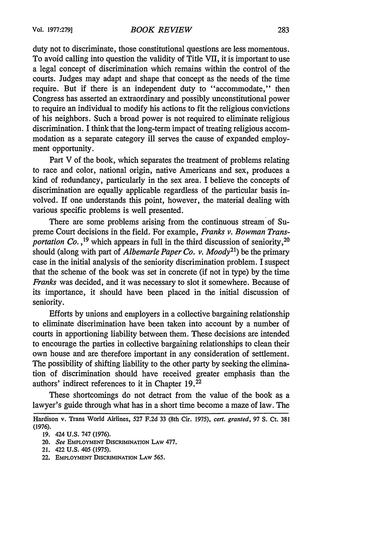duty not to discriminate, those constitutional questions are less momentous. To avoid calling into question the validity of Title VII, it is important to use a legal concept of discrimination which remains within the control of the courts. Judges may adapt and shape that concept as the needs of the time require. But if there is an independent duty to "accommodate," then Congress has asserted an extraordinary and possibly unconstitutional power to require an individual to modify his actions to fit the religious convictions of his neighbors. Such a broad power is not required to eliminate religious discrimination. I think that the long-term impact of treating religious accommodation as a separate category ill serves the cause of expanded employment opportunity.

Part V of the book, which separates the treatment of problems relating to race and color, national origin, native Americans and sex, produces a kind of redundancy, particularly in the sex area. I believe the concepts of discrimination are equally applicable regardless of the particular basis involved. If one understands this point, however, the material dealing with various specific problems is well presented.

There are some problems arising from the continuous stream of Supreme Court decisions in the field. For example, *Franks v. Bowman Transportation Co.* <sup>19</sup> which appears in full in the third discussion of seniority, <sup>20</sup> should (along with part of *Albemarle Paper Co. v. Moody*<sup>21</sup>) be the primary case in the initial analysis of the seniority discrimination problem. I suspect that the scheme of the book was set in concrete (if not in type) by the time *Franks* was decided, and it was necessary to slot it somewhere. Because of its importance, it should have been placed in the initial discussion of seniority.

Efforts by unions and employers in a collective bargaining relationship to eliminate discrimination have been taken into account by a number of courts in apportioning liability between them. These decisions are intended to encourage the parties in collective bargaining relationships to clean their own house and are therefore important in any consideration of settlement. The possibility of shifting liability to the other party by seeking the elimination of discrimination should have received greater emphasis than the authors' indirect references to it in Chapter 19.22

These shortcomings do not detract from the value of the book as a lawyer's guide through what has in a short time become a maze of law. The

22. **EMPLOYMENT** DISCRIMINATION **LAW** 565.

Hardison v. Trans World Airlines, 527 F.2d 33 (8th Cir. 1975), *cert. granted,* **97 S.** Ct. **381 (1976).**

**<sup>19.</sup>** 424 **U.S. 747 (1976).**

**<sup>20.</sup>** *See* **EMPLOYMENT** DISCRIMINATION **LAW 477.**

<sup>21. 422</sup> **U.S.** 405 **(1975).**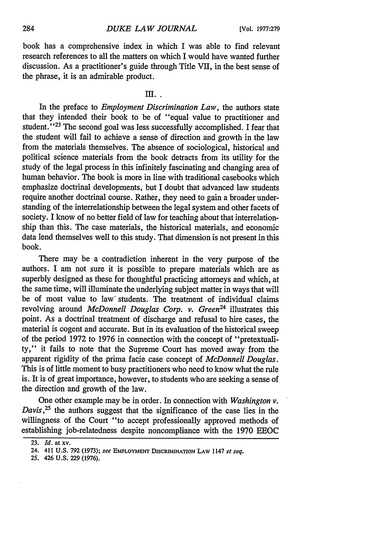book has a comprehensive index in which I was able to find relevant research references to all the matters on which I would have wanted further discussion. As a practitioner's guide through Title VII, in the best sense of the phrase, it is an admirable product.

## $III.$

In the preface to *Employment Discrimination Law,* the authors state that they intended their book to be of "equal value to practitioner and student."<sup>23</sup> The second goal was less successfully accomplished. I fear that the student will fall to achieve a sense of direction and growth in the law from the materials themselves. The absence of sociological, historical and political science materials from the book detracts from its utility for the study of the legal process in this infinitely fascinating and changing area of human behavior. The book is more in line with traditional casebooks which emphasize doctrinal developments, but I doubt that advanced law students require another doctrinal course. Rather, they need to gain a broader understanding of the interrelationship between the legal system and other facets of society. I know of no better field of law for teaching about that interrelationship than this. The case materials, the historical materials, and economic data lend themselves well to this study. That dimension is not present in this book.

There may be a contradiction inherent in the very purpose of the authors. I am not sure it is possible to prepare materials which are as superbly designed as these for thoughtful practicing attorneys and which, at the same time, will illuminate the underlying subject matter in ways that will be of most value to law' students. The treatment of individual claims revolving around *McDonnell Douglas Corp. v. Green24* illustrates this point. As a doctrinal treatment of discharge and refusal to hire cases, the material is cogent and accurate. But in its evaluation of the historical sweep of the period 1972 to 1976 in connection with the concept of "pretextuality," it falls to note that the Supreme Court has moved away from the apparent rigidity of the prima facie case concept of *McDonnell Douglas.* This is of little moment to busy practitioners who need to know what the rule is. It is of great importance, however, to students who are seeking a sense of the direction and growth of the law.

One other example may be in order. In connection with *Washington v. Davis*<sup>25</sup> the authors suggest that the significance of the case lies in the willingness of the Court "to accept professionally approved methods of establishing job-relatedness despite noncompliance with the 1970 EEOC

25. 426 U.S. 229 (1976).

<sup>23.</sup> *Id.* at xv.

<sup>24. 411</sup> **U.S. 792** (1973); *see* **EMPLOYMENT DISCRIMINATION LAW** 1147 *et seq.*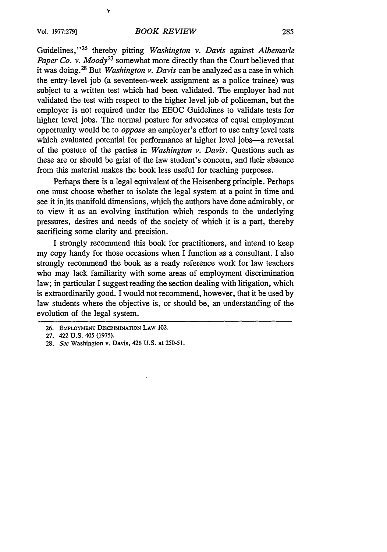$\mathbf{v}$ 

Guidelines,"<sup>26</sup> thereby pitting *Washington v. Davis* against *Albemarle Paper Co. v. Moody*<sup>27</sup> somewhat more directly than the Court believed that it was doing.<sup>28</sup> But *Washington v. Davis* can be analyzed as a case in which the entry-level job (a seventeen-week assignment as a police trainee) was subject to a written test which had been validated. The employer had not validated the test with respect to the higher level job of policeman, but the employer is not required under the EEOC Guidelines to validate tests for higher level jobs. The normal posture for advocates of equal employment opportunity would be to *oppose* an employer's effort to use entry level tests which evaluated potential for performance at higher level jobs-a reversal of the posture of the parties in *Washington v. Davis.* Questions such as these are or should be grist of the law student's concern, and their absence from this material makes the book less useful for teaching purposes.

Perhaps there is a legal equivalent of the Heisenberg principle. Perhaps one must choose whether to isolate the legal system at a point in time and see it in its manifold dimensions, which the authors have done admirably, or to view it as an evolving institution which responds to the underlying pressures, desires and needs of the society of which it is a part, thereby sacrificing some clarity and precision.

I strongly recommend this book for practitioners, and intend to keep my copy handy for those occasions when I function as a consultant. I also strongly recommend the book as a ready reference work for law teachers who may lack familiarity with some areas of employment discrimination law; in particular I suggest reading the section dealing with litigation, which is extraordinarily good. I would not recommend, however, that it be used by law students where the objective is, or should be, an understanding of the evolution of the legal system.

<sup>26.</sup> **EMPLOYMENT DISCRIMINATION** LAW 102.

**<sup>27.</sup>** 422 **U.S.** 405 **(1975).**

**<sup>28.</sup> See** Washington v. Davis, 426 **U.S. at** 250-51.